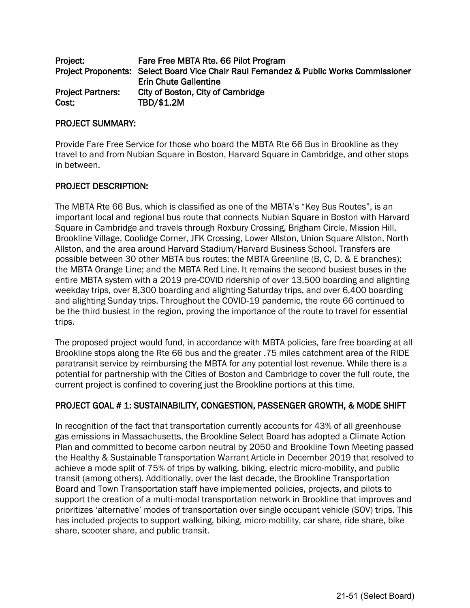| Project:                 | Fare Free MBTA Rte. 66 Pilot Program                                                   |
|--------------------------|----------------------------------------------------------------------------------------|
|                          | Project Proponents: Select Board Vice Chair Raul Fernandez & Public Works Commissioner |
|                          | <b>Erin Chute Gallentine</b>                                                           |
| <b>Project Partners:</b> | City of Boston, City of Cambridge                                                      |
| Cost:                    | TBD/\$1.2M                                                                             |

### PROJECT SUMMARY:

Provide Fare Free Service for those who board the MBTA Rte 66 Bus in Brookline as they travel to and from Nubian Square in Boston, Harvard Square in Cambridge, and other stops in between.

### PROJECT DESCRIPTION:

The MBTA Rte 66 Bus, which is classified as one of the MBTA's "Key Bus Routes", is an important local and regional bus route that connects Nubian Square in Boston with Harvard Square in Cambridge and travels through Roxbury Crossing, Brigham Circle, Mission Hill, Brookline Village, Coolidge Corner, JFK Crossing, Lower Allston, Union Square Allston, North Allston, and the area around Harvard Stadium/Harvard Business School. Transfers are possible between 30 other MBTA bus routes; the MBTA Greenline (B, C, D, & E branches); the MBTA Orange Line; and the MBTA Red Line. It remains the second busiest buses in the entire MBTA system with a 2019 pre-COVID ridership of over 13,500 boarding and alighting weekday trips, over 8,300 boarding and alighting Saturday trips, and over 6,400 boarding and alighting Sunday trips. Throughout the COVID-19 pandemic, the route 66 continued to be the third busiest in the region, proving the importance of the route to travel for essential trips.

The proposed project would fund, in accordance with MBTA policies, fare free boarding at all Brookline stops along the Rte 66 bus and the greater .75 miles catchment area of the RIDE paratransit service by reimbursing the MBTA for any potential lost revenue. While there is a potential for partnership with the Cities of Boston and Cambridge to cover the full route, the current project is confined to covering just the Brookline portions at this time.

### PROJECT GOAL # 1: SUSTAINABILITY, CONGESTION, PASSENGER GROWTH, & MODE SHIFT

In recognition of the fact that transportation currently accounts for 43% of all greenhouse gas emissions in Massachusetts, the Brookline Select Board has adopted a Climate Action Plan and committed to become carbon neutral by 2050 and Brookline Town Meeting passed the Healthy & Sustainable Transportation Warrant Article in December 2019 that resolved to achieve a mode split of 75% of trips by walking, biking, electric micro-mobility, and public transit (among others). Additionally, over the last decade, the Brookline Transportation Board and Town Transportation staff have implemented policies, projects, and pilots to support the creation of a multi-modal transportation network in Brookline that improves and prioritizes 'alternative' modes of transportation over single occupant vehicle (SOV) trips. This has included projects to support walking, biking, micro-mobility, car share, ride share, bike share, scooter share, and public transit.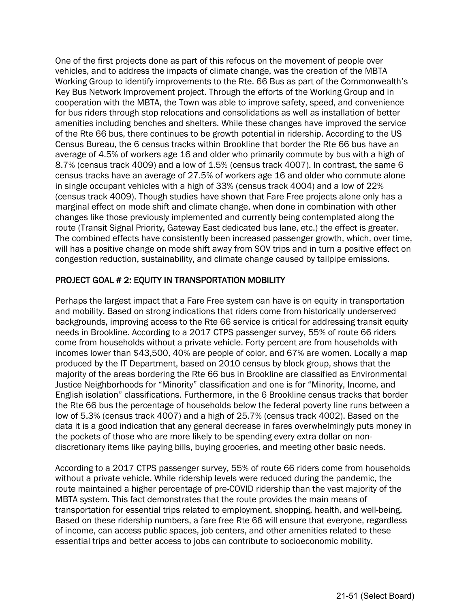One of the first projects done as part of this refocus on the movement of people over vehicles, and to address the impacts of climate change, was the creation of the MBTA Working Group to identify improvements to the Rte. 66 Bus as part of the Commonwealth's Key Bus Network Improvement project. Through the efforts of the Working Group and in cooperation with the MBTA, the Town was able to improve safety, speed, and convenience for bus riders through stop relocations and consolidations as well as installation of better amenities including benches and shelters. While these changes have improved the service of the Rte 66 bus, there continues to be growth potential in ridership. According to the US Census Bureau, the 6 census tracks within Brookline that border the Rte 66 bus have an average of 4.5% of workers age 16 and older who primarily commute by bus with a high of 8.7% (census track 4009) and a low of 1.5% (census track 4007). In contrast, the same 6 census tracks have an average of 27.5% of workers age 16 and older who commute alone in single occupant vehicles with a high of 33% (census track 4004) and a low of 22% (census track 4009). Though studies have shown that Fare Free projects alone only has a marginal effect on mode shift and climate change, when done in combination with other changes like those previously implemented and currently being contemplated along the route (Transit Signal Priority, Gateway East dedicated bus lane, etc.) the effect is greater. The combined effects have consistently been increased passenger growth, which, over time, will has a positive change on mode shift away from SOV trips and in turn a positive effect on congestion reduction, sustainability, and climate change caused by tailpipe emissions.

## PROJECT GOAL # 2: EQUITY IN TRANSPORTATION MOBILITY

Perhaps the largest impact that a Fare Free system can have is on equity in transportation and mobility. Based on strong indications that riders come from historically underserved backgrounds, improving access to the Rte 66 service is critical for addressing transit equity needs in Brookline. According to a 2017 CTPS passenger survey, 55% of route 66 riders come from households without a private vehicle. Forty percent are from households with incomes lower than \$43,500, 40% are people of color, and 67% are women. Locally a map produced by the IT Department, based on 2010 census by block group, shows that the majority of the areas bordering the Rte 66 bus in Brookline are classified as Environmental Justice Neighborhoods for "Minority" classification and one is for "Minority, Income, and English isolation" classifications. Furthermore, in the 6 Brookline census tracks that border the Rte 66 bus the percentage of households below the federal poverty line runs between a low of 5.3% (census track 4007) and a high of 25.7% (census track 4002). Based on the data it is a good indication that any general decrease in fares overwhelmingly puts money in the pockets of those who are more likely to be spending every extra dollar on nondiscretionary items like paying bills, buying groceries, and meeting other basic needs.

According to a 2017 CTPS passenger survey, 55% of route 66 riders come from households without a private vehicle. While ridership levels were reduced during the pandemic, the route maintained a higher percentage of pre-COVID ridership than the vast majority of the MBTA system. This fact demonstrates that the route provides the main means of transportation for essential trips related to employment, shopping, health, and well-being. Based on these ridership numbers, a fare free Rte 66 will ensure that everyone, regardless of income, can access public spaces, job centers, and other amenities related to these essential trips and better access to jobs can contribute to socioeconomic mobility.